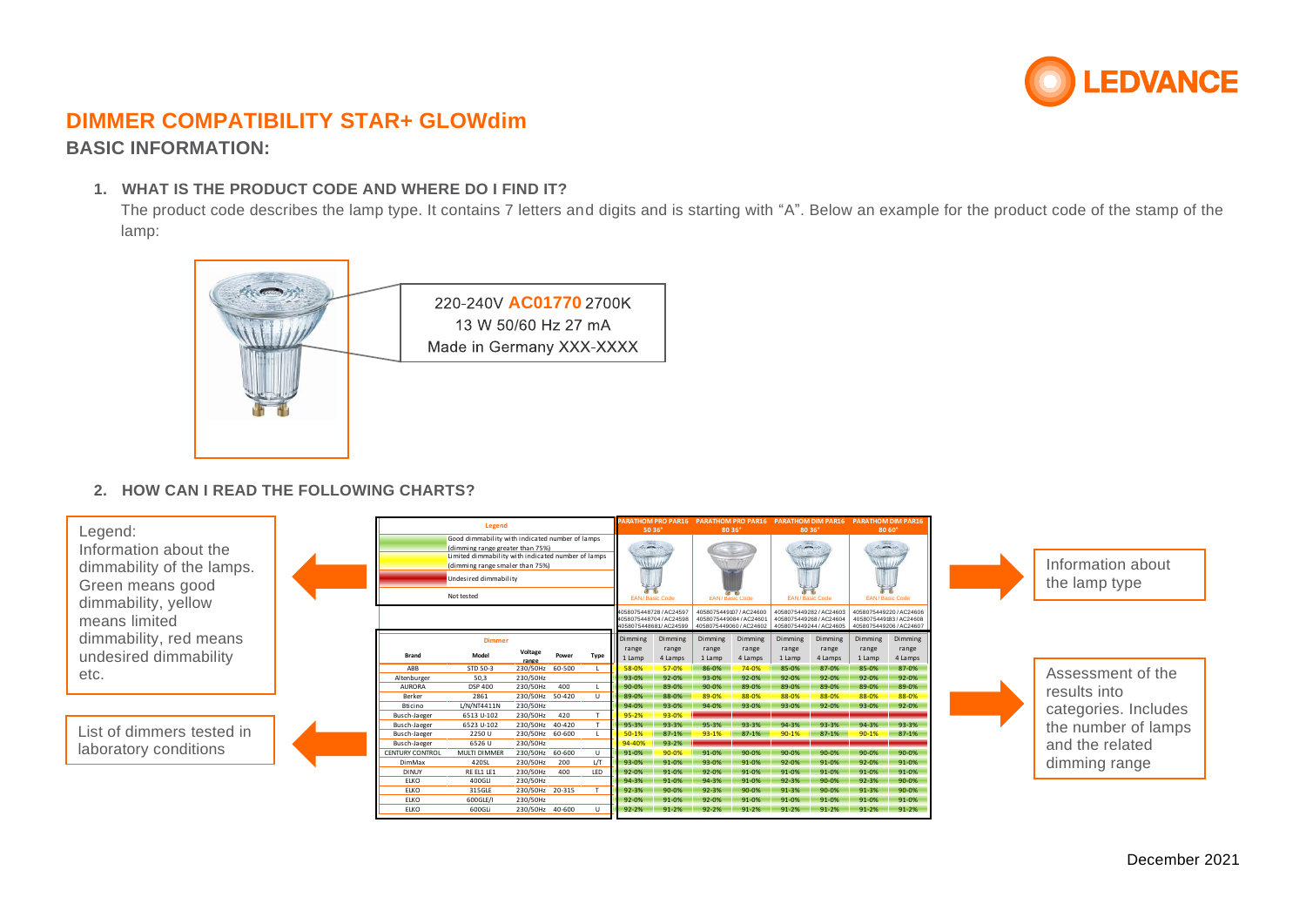

## **BASIC INFORMATION:**

### **1. WHAT IS THE PRODUCT CODE AND WHERE DO I FIND IT?**

The product code describes the lamp type. It contains 7 letters and digits and is starting with "A". Below an example for the product code of the stamp of the lamp:



## **2. HOW CAN I READ THE FOLLOWING CHARTS?**

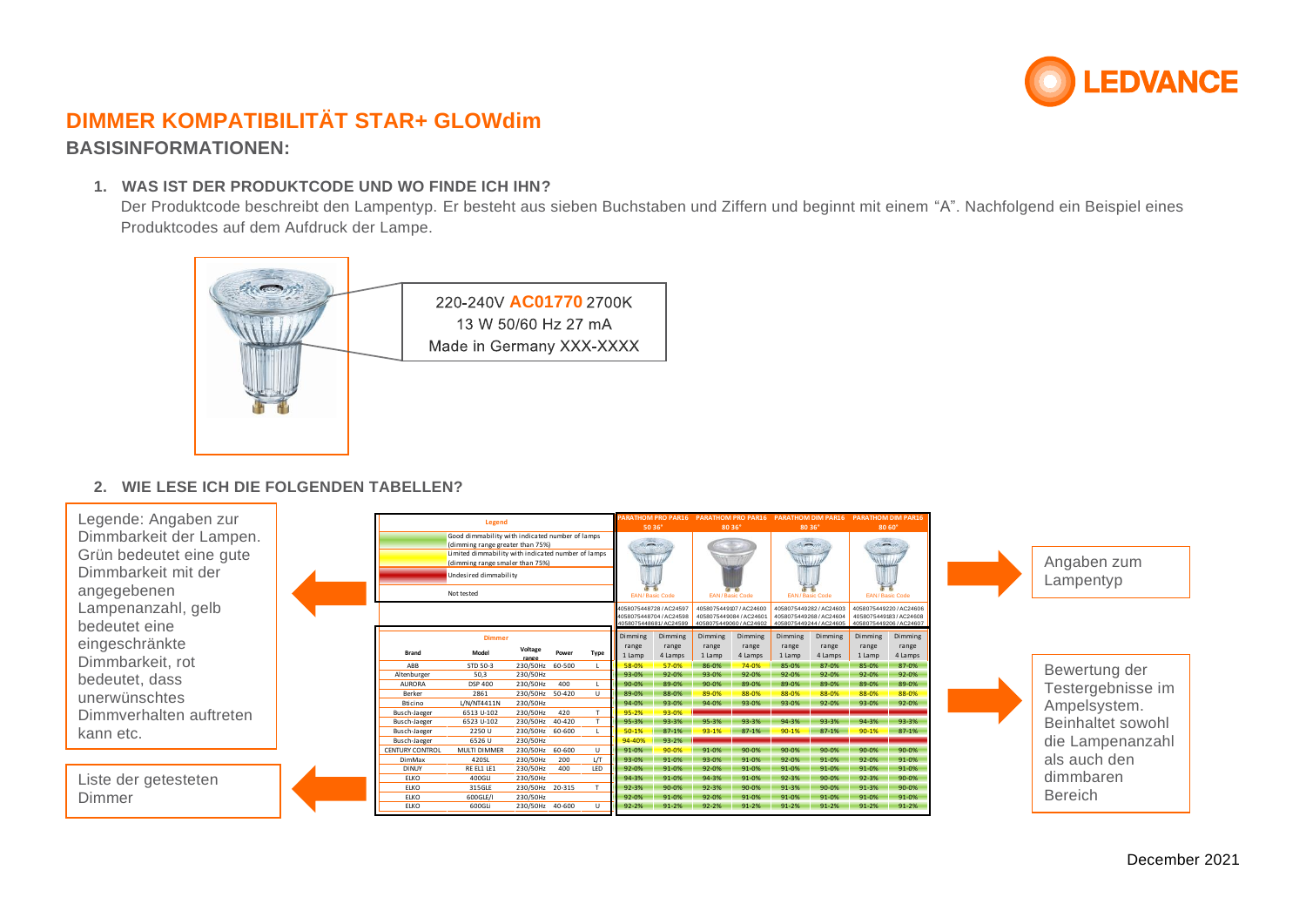

## **DIMMER KOMPATIBILITÄT STAR+ GLOWdim BASISINFORMATIONEN:**

#### **1. WAS IST DER PRODUKTCODE UND WO FINDE ICH IHN?**

Der Produktcode beschreibt den Lampentyp. Er besteht aus sieben Buchstaben und Ziffern und beginnt mit einem "A". Nachfolgend ein Beispiel eines Produktcodes auf dem Aufdruck der Lampe.



### **2. WIE LESE ICH DIE FOLGENDEN TABELLEN?**

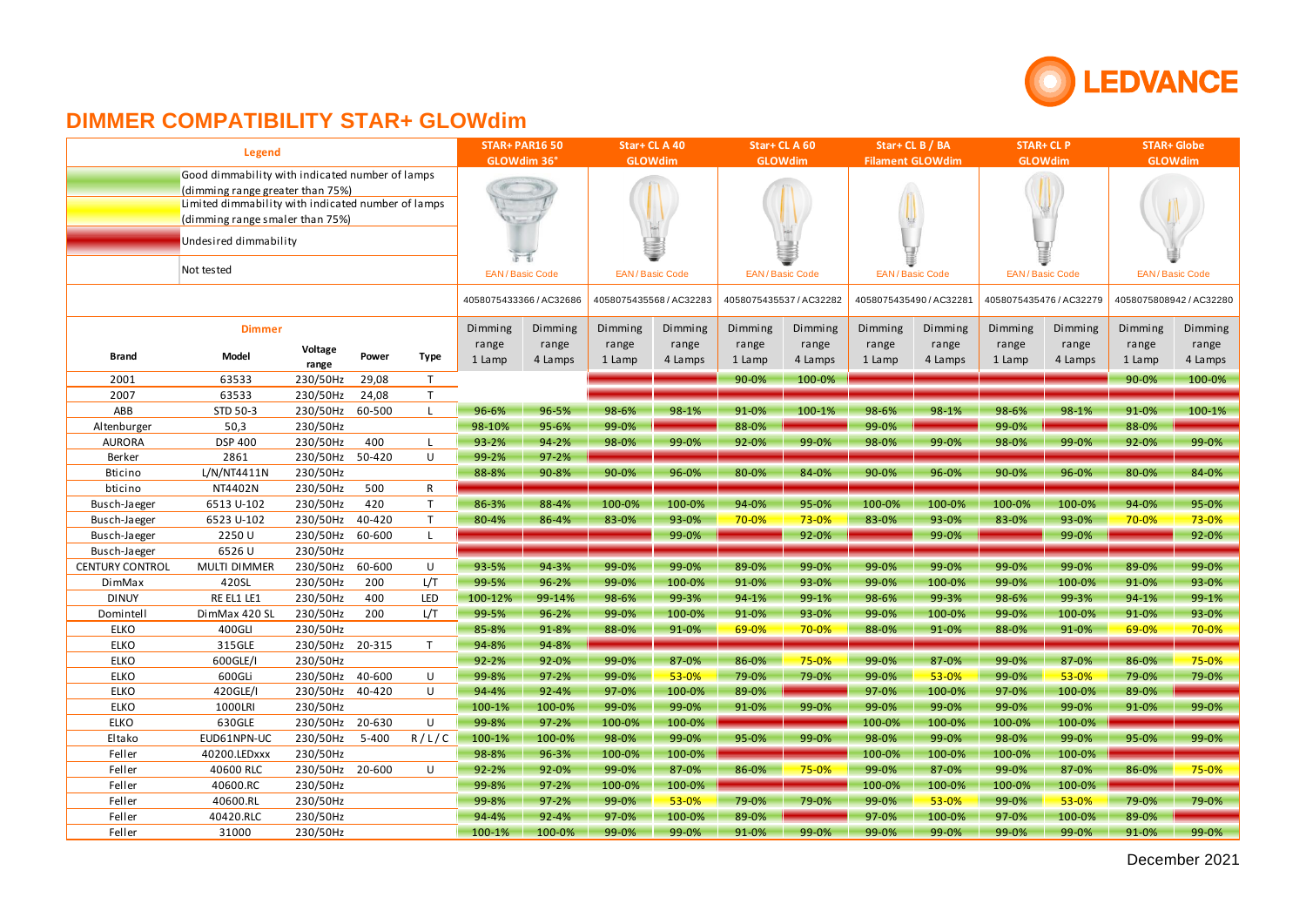

| GLOWdim 36°<br><b>GLOWdim</b><br><b>GLOWdim</b><br><b>Filament GLOWdim</b><br><b>GLOWdim</b><br><b>GLOWdim</b><br>Good dimmability with indicated number of lamps<br>(dimming range greater than 75%)<br>Limited dimmability with indicated number of lamps<br>(dimming range smaler than 75%)<br>Undesired dimmability<br>Not tested<br><b>EAN/Basic Code</b><br><b>EAN/Basic Code</b><br><b>EAN/Basic Code</b><br><b>EAN/Basic Code</b><br><b>EAN/Basic Code</b><br><b>EAN/Basic Code</b><br>4058075433366 / AC32686<br>4058075435568 / AC32283<br>4058075435537 / AC32282<br>4058075435490 / AC32281<br>4058075435476 / AC32279<br>4058075808942 / AC32280<br>Dimming<br>Dimming<br>Dimming<br>Dimming<br>Dimming<br>Dimming<br>Dimming<br>Dimming<br>Dimming<br>Dimming<br>Dimming<br><b>Dimmer</b><br>Dimming<br>range<br>range<br>range<br>range<br>range<br>range<br>range<br>range<br>range<br>range<br>range<br>range<br>Voltage<br>Model<br>Power<br><b>Type</b><br><b>Brand</b><br>1 Lamp<br>4 Lamps<br>1 Lamp<br>4 Lamps<br>1 Lamp<br>4 Lamps<br>1 Lamp<br>4 Lamps<br>1 Lamp<br>4 Lamps<br>4 Lamps<br>1 Lamp<br>range<br>2001<br>63533<br>230/50Hz<br>29,08<br>T<br>90-0%<br>100-0%<br>90-0%<br>100-0%<br>2007<br>63533<br>230/50Hz<br>24,08<br>T<br>230/50Hz<br>ABB<br>STD 50-3<br>60-500<br>98-6%<br>98-1%<br>100-1%<br>98-6%<br>98-1%<br>91-0%<br>100-1%<br>96-6%<br>96-5%<br>91-0%<br>98-6%<br>98-1%<br>L.<br>230/50Hz<br>50,3<br>95-6%<br>99-0%<br>88-0%<br>99-0%<br>99-0%<br>88-0%<br>Altenburger<br>98-10%<br>230/50Hz<br>400<br>93-2%<br>94-2%<br>98-0%<br>99-0%<br>92-0%<br>99-0%<br>98-0%<br>99-0%<br>98-0%<br>99-0%<br>92-0%<br>99-0%<br><b>AURORA</b><br><b>DSP 400</b><br>L<br>2861<br>230/50Hz<br>50-420<br>U<br>99-2%<br>$97 - 2%$<br>Berker<br>L/N/NT4411N<br>230/50Hz<br><b>Bticino</b><br>88-8%<br>90-8%<br>$90 - 0%$<br>96-0%<br>80-0%<br>84-0%<br>90-0%<br>96-0%<br>96-0%<br>80-0%<br>84-0%<br>90-0%<br>NT4402N<br>230/50Hz<br>500<br>bticino<br>R<br>230/50Hz<br>420<br>94-0%<br>6513 U-102<br>$\mathsf{T}$<br>86-3%<br>100-0%<br>94-0%<br>95-0%<br>100-0%<br>100-0%<br>95-0%<br>Busch-Jaeger<br>88-4%<br>100-0%<br>100-0%<br>100-0%<br>230/50Hz<br>6523 U-102<br>40-420<br>T<br>93-0%<br>70-0%<br>73-0%<br>83-0%<br>93-0%<br>70-0%<br>73-0%<br>80-4%<br>86-4%<br>83-0%<br>83-0%<br>93-0%<br>Busch-Jaeger<br>2250 U<br>230/50Hz<br>60-600<br>99-0%<br>92-0%<br>99-0%<br>99-0%<br>92-0%<br>Busch-Jaeger<br>L<br>6526 U<br>230/50Hz<br>Busch-Jaeger<br><b>CENTURY CONTROL</b><br>MULTI DIMMER<br>230/50Hz<br>60-600<br>99-0%<br>89-0%<br>99-0%<br>U<br>93-5%<br>94-3%<br>99-0%<br>89-0%<br>99-0%<br>99-0%<br>99-0%<br>99-0%<br>99-0%<br>420SL<br>230/50Hz<br>200<br>L/T<br>91-0%<br>91-0%<br>93-0%<br>DimMax<br>99-5%<br>96-2%<br>99-0%<br>100-0%<br>93-0%<br>99-0%<br>100-0%<br>99-0%<br>100-0%<br>RE EL1 LE1<br>230/50Hz<br>400<br>99-14%<br>98-6%<br>99-3%<br>$94 - 1%$<br>99-1%<br>98-6%<br>99-3%<br>99-3%<br>94-1%<br>99-1%<br><b>DINUY</b><br>LED<br>100-12%<br>98-6%<br>230/50Hz<br>200<br>99-5%<br>96-2%<br>99-0%<br>100-0%<br>93-0%<br>99-0%<br>100-0%<br>91-0%<br>93-0%<br>Domintell<br>DimMax 420 SL<br>L/T<br>91-0%<br>100-0%<br>99-0%<br><b>ELKO</b><br>400GLI<br>230/50Hz<br>91-0%<br>70-0%<br>69-0%<br>70-0%<br>85-8%<br>91-8%<br>88-0%<br>69-0%<br>88-0%<br>91-0%<br>88-0%<br>91-0%<br><b>ELKO</b><br>315GLE<br>230/50Hz 20-315<br>94-8%<br>T<br>94-8%<br><b>ELKO</b><br>230/50Hz<br>99-0%<br>87-0%<br>86-0%<br>600GLE/I<br>$92 - 2%$<br>92-0%<br>86-0%<br>75-0%<br>99-0%<br>87-0%<br>99-0%<br>87-0%<br>75-0%<br>230/50Hz<br><b>ELKO</b><br>600GLi<br>40-600<br>U<br>99-0%<br>53-0%<br>79-0%<br>79-0%<br>99-0%<br>53-0%<br>99-0%<br>53-0%<br>79-0%<br>79-0%<br>99-8%<br>$97 - 2%$<br><b>ELKO</b><br>230/50Hz<br>40-420<br>97-0%<br>97-0%<br>420GLE/I<br>U<br>94-4%<br>$92 - 4%$<br>100-0%<br>89-0%<br>100-0%<br>97-0%<br>100-0%<br>89-0%<br>230/50Hz<br><b>ELKO</b><br>99-0%<br>99-0%<br>99-0%<br>99-0%<br>99-0%<br>99-0%<br>91-0%<br>99-0%<br>1000LRI<br>100-1%<br>100-0%<br>91-0%<br>99-0%<br><b>ELKO</b><br>230/50Hz<br>20-630<br>U<br>630GLE<br>99-8%<br>97-2%<br>100-0%<br>100-0%<br>100-0%<br>100-0%<br>100-0%<br>100-0%<br>Eltako<br>EUD61NPN-UC<br>230/50Hz<br>R/L/C<br>98-0%<br>99-0%<br>98-0%<br>99-0%<br>99-0%<br>$5 - 400$<br>100-1%<br>100-0%<br>95-0%<br>99-0%<br>98-0%<br>95-0%<br>99-0%<br>Feller<br>230/50Hz<br>96-3%<br>100-0%<br>100-0%<br>100-0%<br>100-0%<br>100-0%<br>100-0%<br>40200.LEDxxx<br>98-8%<br>230/50Hz 20-600<br>99-0%<br>Feller<br>40600 RLC<br>U<br>$92 - 2%$<br>92-0%<br>99-0%<br>87-0%<br>86-0%<br>75-0%<br>87-0%<br>99-0%<br>87-0%<br>86-0%<br>75-0%<br>230/50Hz<br>Feller<br>40600.RC<br>99-8%<br>$97 - 2%$<br>100-0%<br>100-0%<br>100-0%<br>100-0%<br>100-0%<br>100-0%<br>Feller<br>230/50Hz<br>99-0%<br>53-0%<br>79-0%<br>99-0%<br>53-0%<br>99-0%<br>53-0%<br>79-0%<br>40600.RL<br>99-8%<br>$97 - 2%$<br>79-0%<br>79-0%<br>100-0%<br>100-0%<br>89-0%<br>Feller<br>40420.RLC<br>230/50Hz<br>94-4%<br>$92 - 4%$<br>97-0%<br>89-0%<br>97-0%<br>100-0%<br>97-0% |        |               | <b>STAR+ PAR16 50</b> |  | Star+CLA40 |        | Star+CLA60 |       | Star+ CL B / BA |       | <b>STAR+ CL P</b> |       | <b>STAR+ Globe</b> |       |       |       |       |  |
|-----------------------------------------------------------------------------------------------------------------------------------------------------------------------------------------------------------------------------------------------------------------------------------------------------------------------------------------------------------------------------------------------------------------------------------------------------------------------------------------------------------------------------------------------------------------------------------------------------------------------------------------------------------------------------------------------------------------------------------------------------------------------------------------------------------------------------------------------------------------------------------------------------------------------------------------------------------------------------------------------------------------------------------------------------------------------------------------------------------------------------------------------------------------------------------------------------------------------------------------------------------------------------------------------------------------------------------------------------------------------------------------------------------------------------------------------------------------------------------------------------------------------------------------------------------------------------------------------------------------------------------------------------------------------------------------------------------------------------------------------------------------------------------------------------------------------------------------------------------------------------------------------------------------------------------------------------------------------------------------------------------------------------------------------------------------------------------------------------------------------------------------------------------------------------------------------------------------------------------------------------------------------------------------------------------------------------------------------------------------------------------------------------------------------------------------------------------------------------------------------------------------------------------------------------------------------------------------------------------------------------------------------------------------------------------------------------------------------------------------------------------------------------------------------------------------------------------------------------------------------------------------------------------------------------------------------------------------------------------------------------------------------------------------------------------------------------------------------------------------------------------------------------------------------------------------------------------------------------------------------------------------------------------------------------------------------------------------------------------------------------------------------------------------------------------------------------------------------------------------------------------------------------------------------------------------------------------------------------------------------------------------------------------------------------------------------------------------------------------------------------------------------------------------------------------------------------------------------------------------------------------------------------------------------------------------------------------------------------------------------------------------------------------------------------------------------------------------------------------------------------------------------------------------------------------------------------------------------------------------------------------------------------------------------------------------------------------------------------------------------------------------------------------------------------------------------------------------------------------------------------------------------------------------------------------------------------------------------------------------------------------------------------------------------------------------------------------------------------------------------------------------------------------------------------------------------------------------------------------------------------------------------------------------------------------------------------------------------------------------------------------------------------------------------------|--------|---------------|-----------------------|--|------------|--------|------------|-------|-----------------|-------|-------------------|-------|--------------------|-------|-------|-------|-------|--|
|                                                                                                                                                                                                                                                                                                                                                                                                                                                                                                                                                                                                                                                                                                                                                                                                                                                                                                                                                                                                                                                                                                                                                                                                                                                                                                                                                                                                                                                                                                                                                                                                                                                                                                                                                                                                                                                                                                                                                                                                                                                                                                                                                                                                                                                                                                                                                                                                                                                                                                                                                                                                                                                                                                                                                                                                                                                                                                                                                                                                                                                                                                                                                                                                                                                                                                                                                                                                                                                                                                                                                                                                                                                                                                                                                                                                                                                                                                                                                                                                                                                                                                                                                                                                                                                                                                                                                                                                                                                                                                                                                                                                                                                                                                                                                                                                                                                                                                                                                                                                                                                     |        | <b>Legend</b> |                       |  |            |        |            |       |                 |       |                   |       |                    |       |       |       |       |  |
|                                                                                                                                                                                                                                                                                                                                                                                                                                                                                                                                                                                                                                                                                                                                                                                                                                                                                                                                                                                                                                                                                                                                                                                                                                                                                                                                                                                                                                                                                                                                                                                                                                                                                                                                                                                                                                                                                                                                                                                                                                                                                                                                                                                                                                                                                                                                                                                                                                                                                                                                                                                                                                                                                                                                                                                                                                                                                                                                                                                                                                                                                                                                                                                                                                                                                                                                                                                                                                                                                                                                                                                                                                                                                                                                                                                                                                                                                                                                                                                                                                                                                                                                                                                                                                                                                                                                                                                                                                                                                                                                                                                                                                                                                                                                                                                                                                                                                                                                                                                                                                                     |        |               |                       |  |            |        |            |       |                 |       |                   |       |                    |       |       |       |       |  |
|                                                                                                                                                                                                                                                                                                                                                                                                                                                                                                                                                                                                                                                                                                                                                                                                                                                                                                                                                                                                                                                                                                                                                                                                                                                                                                                                                                                                                                                                                                                                                                                                                                                                                                                                                                                                                                                                                                                                                                                                                                                                                                                                                                                                                                                                                                                                                                                                                                                                                                                                                                                                                                                                                                                                                                                                                                                                                                                                                                                                                                                                                                                                                                                                                                                                                                                                                                                                                                                                                                                                                                                                                                                                                                                                                                                                                                                                                                                                                                                                                                                                                                                                                                                                                                                                                                                                                                                                                                                                                                                                                                                                                                                                                                                                                                                                                                                                                                                                                                                                                                                     |        |               |                       |  |            |        |            |       |                 |       |                   |       |                    |       |       |       |       |  |
|                                                                                                                                                                                                                                                                                                                                                                                                                                                                                                                                                                                                                                                                                                                                                                                                                                                                                                                                                                                                                                                                                                                                                                                                                                                                                                                                                                                                                                                                                                                                                                                                                                                                                                                                                                                                                                                                                                                                                                                                                                                                                                                                                                                                                                                                                                                                                                                                                                                                                                                                                                                                                                                                                                                                                                                                                                                                                                                                                                                                                                                                                                                                                                                                                                                                                                                                                                                                                                                                                                                                                                                                                                                                                                                                                                                                                                                                                                                                                                                                                                                                                                                                                                                                                                                                                                                                                                                                                                                                                                                                                                                                                                                                                                                                                                                                                                                                                                                                                                                                                                                     |        |               |                       |  |            |        |            |       |                 |       |                   |       |                    |       |       |       |       |  |
|                                                                                                                                                                                                                                                                                                                                                                                                                                                                                                                                                                                                                                                                                                                                                                                                                                                                                                                                                                                                                                                                                                                                                                                                                                                                                                                                                                                                                                                                                                                                                                                                                                                                                                                                                                                                                                                                                                                                                                                                                                                                                                                                                                                                                                                                                                                                                                                                                                                                                                                                                                                                                                                                                                                                                                                                                                                                                                                                                                                                                                                                                                                                                                                                                                                                                                                                                                                                                                                                                                                                                                                                                                                                                                                                                                                                                                                                                                                                                                                                                                                                                                                                                                                                                                                                                                                                                                                                                                                                                                                                                                                                                                                                                                                                                                                                                                                                                                                                                                                                                                                     |        |               |                       |  |            |        |            |       |                 |       |                   |       |                    |       |       |       |       |  |
|                                                                                                                                                                                                                                                                                                                                                                                                                                                                                                                                                                                                                                                                                                                                                                                                                                                                                                                                                                                                                                                                                                                                                                                                                                                                                                                                                                                                                                                                                                                                                                                                                                                                                                                                                                                                                                                                                                                                                                                                                                                                                                                                                                                                                                                                                                                                                                                                                                                                                                                                                                                                                                                                                                                                                                                                                                                                                                                                                                                                                                                                                                                                                                                                                                                                                                                                                                                                                                                                                                                                                                                                                                                                                                                                                                                                                                                                                                                                                                                                                                                                                                                                                                                                                                                                                                                                                                                                                                                                                                                                                                                                                                                                                                                                                                                                                                                                                                                                                                                                                                                     |        |               |                       |  |            |        |            |       |                 |       |                   |       |                    |       |       |       |       |  |
|                                                                                                                                                                                                                                                                                                                                                                                                                                                                                                                                                                                                                                                                                                                                                                                                                                                                                                                                                                                                                                                                                                                                                                                                                                                                                                                                                                                                                                                                                                                                                                                                                                                                                                                                                                                                                                                                                                                                                                                                                                                                                                                                                                                                                                                                                                                                                                                                                                                                                                                                                                                                                                                                                                                                                                                                                                                                                                                                                                                                                                                                                                                                                                                                                                                                                                                                                                                                                                                                                                                                                                                                                                                                                                                                                                                                                                                                                                                                                                                                                                                                                                                                                                                                                                                                                                                                                                                                                                                                                                                                                                                                                                                                                                                                                                                                                                                                                                                                                                                                                                                     |        |               |                       |  |            |        |            |       |                 |       |                   |       |                    |       |       |       |       |  |
|                                                                                                                                                                                                                                                                                                                                                                                                                                                                                                                                                                                                                                                                                                                                                                                                                                                                                                                                                                                                                                                                                                                                                                                                                                                                                                                                                                                                                                                                                                                                                                                                                                                                                                                                                                                                                                                                                                                                                                                                                                                                                                                                                                                                                                                                                                                                                                                                                                                                                                                                                                                                                                                                                                                                                                                                                                                                                                                                                                                                                                                                                                                                                                                                                                                                                                                                                                                                                                                                                                                                                                                                                                                                                                                                                                                                                                                                                                                                                                                                                                                                                                                                                                                                                                                                                                                                                                                                                                                                                                                                                                                                                                                                                                                                                                                                                                                                                                                                                                                                                                                     |        |               |                       |  |            |        |            |       |                 |       |                   |       |                    |       |       |       |       |  |
|                                                                                                                                                                                                                                                                                                                                                                                                                                                                                                                                                                                                                                                                                                                                                                                                                                                                                                                                                                                                                                                                                                                                                                                                                                                                                                                                                                                                                                                                                                                                                                                                                                                                                                                                                                                                                                                                                                                                                                                                                                                                                                                                                                                                                                                                                                                                                                                                                                                                                                                                                                                                                                                                                                                                                                                                                                                                                                                                                                                                                                                                                                                                                                                                                                                                                                                                                                                                                                                                                                                                                                                                                                                                                                                                                                                                                                                                                                                                                                                                                                                                                                                                                                                                                                                                                                                                                                                                                                                                                                                                                                                                                                                                                                                                                                                                                                                                                                                                                                                                                                                     |        |               |                       |  |            |        |            |       |                 |       |                   |       |                    |       |       |       |       |  |
|                                                                                                                                                                                                                                                                                                                                                                                                                                                                                                                                                                                                                                                                                                                                                                                                                                                                                                                                                                                                                                                                                                                                                                                                                                                                                                                                                                                                                                                                                                                                                                                                                                                                                                                                                                                                                                                                                                                                                                                                                                                                                                                                                                                                                                                                                                                                                                                                                                                                                                                                                                                                                                                                                                                                                                                                                                                                                                                                                                                                                                                                                                                                                                                                                                                                                                                                                                                                                                                                                                                                                                                                                                                                                                                                                                                                                                                                                                                                                                                                                                                                                                                                                                                                                                                                                                                                                                                                                                                                                                                                                                                                                                                                                                                                                                                                                                                                                                                                                                                                                                                     |        |               |                       |  |            |        |            |       |                 |       |                   |       |                    |       |       |       |       |  |
|                                                                                                                                                                                                                                                                                                                                                                                                                                                                                                                                                                                                                                                                                                                                                                                                                                                                                                                                                                                                                                                                                                                                                                                                                                                                                                                                                                                                                                                                                                                                                                                                                                                                                                                                                                                                                                                                                                                                                                                                                                                                                                                                                                                                                                                                                                                                                                                                                                                                                                                                                                                                                                                                                                                                                                                                                                                                                                                                                                                                                                                                                                                                                                                                                                                                                                                                                                                                                                                                                                                                                                                                                                                                                                                                                                                                                                                                                                                                                                                                                                                                                                                                                                                                                                                                                                                                                                                                                                                                                                                                                                                                                                                                                                                                                                                                                                                                                                                                                                                                                                                     |        |               |                       |  |            |        |            |       |                 |       |                   |       |                    |       |       |       |       |  |
|                                                                                                                                                                                                                                                                                                                                                                                                                                                                                                                                                                                                                                                                                                                                                                                                                                                                                                                                                                                                                                                                                                                                                                                                                                                                                                                                                                                                                                                                                                                                                                                                                                                                                                                                                                                                                                                                                                                                                                                                                                                                                                                                                                                                                                                                                                                                                                                                                                                                                                                                                                                                                                                                                                                                                                                                                                                                                                                                                                                                                                                                                                                                                                                                                                                                                                                                                                                                                                                                                                                                                                                                                                                                                                                                                                                                                                                                                                                                                                                                                                                                                                                                                                                                                                                                                                                                                                                                                                                                                                                                                                                                                                                                                                                                                                                                                                                                                                                                                                                                                                                     |        |               |                       |  |            |        |            |       |                 |       |                   |       |                    |       |       |       |       |  |
|                                                                                                                                                                                                                                                                                                                                                                                                                                                                                                                                                                                                                                                                                                                                                                                                                                                                                                                                                                                                                                                                                                                                                                                                                                                                                                                                                                                                                                                                                                                                                                                                                                                                                                                                                                                                                                                                                                                                                                                                                                                                                                                                                                                                                                                                                                                                                                                                                                                                                                                                                                                                                                                                                                                                                                                                                                                                                                                                                                                                                                                                                                                                                                                                                                                                                                                                                                                                                                                                                                                                                                                                                                                                                                                                                                                                                                                                                                                                                                                                                                                                                                                                                                                                                                                                                                                                                                                                                                                                                                                                                                                                                                                                                                                                                                                                                                                                                                                                                                                                                                                     |        |               |                       |  |            |        |            |       |                 |       |                   |       |                    |       |       |       |       |  |
|                                                                                                                                                                                                                                                                                                                                                                                                                                                                                                                                                                                                                                                                                                                                                                                                                                                                                                                                                                                                                                                                                                                                                                                                                                                                                                                                                                                                                                                                                                                                                                                                                                                                                                                                                                                                                                                                                                                                                                                                                                                                                                                                                                                                                                                                                                                                                                                                                                                                                                                                                                                                                                                                                                                                                                                                                                                                                                                                                                                                                                                                                                                                                                                                                                                                                                                                                                                                                                                                                                                                                                                                                                                                                                                                                                                                                                                                                                                                                                                                                                                                                                                                                                                                                                                                                                                                                                                                                                                                                                                                                                                                                                                                                                                                                                                                                                                                                                                                                                                                                                                     |        |               |                       |  |            |        |            |       |                 |       |                   |       |                    |       |       |       |       |  |
|                                                                                                                                                                                                                                                                                                                                                                                                                                                                                                                                                                                                                                                                                                                                                                                                                                                                                                                                                                                                                                                                                                                                                                                                                                                                                                                                                                                                                                                                                                                                                                                                                                                                                                                                                                                                                                                                                                                                                                                                                                                                                                                                                                                                                                                                                                                                                                                                                                                                                                                                                                                                                                                                                                                                                                                                                                                                                                                                                                                                                                                                                                                                                                                                                                                                                                                                                                                                                                                                                                                                                                                                                                                                                                                                                                                                                                                                                                                                                                                                                                                                                                                                                                                                                                                                                                                                                                                                                                                                                                                                                                                                                                                                                                                                                                                                                                                                                                                                                                                                                                                     |        |               |                       |  |            |        |            |       |                 |       |                   |       |                    |       |       |       |       |  |
|                                                                                                                                                                                                                                                                                                                                                                                                                                                                                                                                                                                                                                                                                                                                                                                                                                                                                                                                                                                                                                                                                                                                                                                                                                                                                                                                                                                                                                                                                                                                                                                                                                                                                                                                                                                                                                                                                                                                                                                                                                                                                                                                                                                                                                                                                                                                                                                                                                                                                                                                                                                                                                                                                                                                                                                                                                                                                                                                                                                                                                                                                                                                                                                                                                                                                                                                                                                                                                                                                                                                                                                                                                                                                                                                                                                                                                                                                                                                                                                                                                                                                                                                                                                                                                                                                                                                                                                                                                                                                                                                                                                                                                                                                                                                                                                                                                                                                                                                                                                                                                                     |        |               |                       |  |            |        |            |       |                 |       |                   |       |                    |       |       |       |       |  |
|                                                                                                                                                                                                                                                                                                                                                                                                                                                                                                                                                                                                                                                                                                                                                                                                                                                                                                                                                                                                                                                                                                                                                                                                                                                                                                                                                                                                                                                                                                                                                                                                                                                                                                                                                                                                                                                                                                                                                                                                                                                                                                                                                                                                                                                                                                                                                                                                                                                                                                                                                                                                                                                                                                                                                                                                                                                                                                                                                                                                                                                                                                                                                                                                                                                                                                                                                                                                                                                                                                                                                                                                                                                                                                                                                                                                                                                                                                                                                                                                                                                                                                                                                                                                                                                                                                                                                                                                                                                                                                                                                                                                                                                                                                                                                                                                                                                                                                                                                                                                                                                     |        |               |                       |  |            |        |            |       |                 |       |                   |       |                    |       |       |       |       |  |
|                                                                                                                                                                                                                                                                                                                                                                                                                                                                                                                                                                                                                                                                                                                                                                                                                                                                                                                                                                                                                                                                                                                                                                                                                                                                                                                                                                                                                                                                                                                                                                                                                                                                                                                                                                                                                                                                                                                                                                                                                                                                                                                                                                                                                                                                                                                                                                                                                                                                                                                                                                                                                                                                                                                                                                                                                                                                                                                                                                                                                                                                                                                                                                                                                                                                                                                                                                                                                                                                                                                                                                                                                                                                                                                                                                                                                                                                                                                                                                                                                                                                                                                                                                                                                                                                                                                                                                                                                                                                                                                                                                                                                                                                                                                                                                                                                                                                                                                                                                                                                                                     |        |               |                       |  |            |        |            |       |                 |       |                   |       |                    |       |       |       |       |  |
|                                                                                                                                                                                                                                                                                                                                                                                                                                                                                                                                                                                                                                                                                                                                                                                                                                                                                                                                                                                                                                                                                                                                                                                                                                                                                                                                                                                                                                                                                                                                                                                                                                                                                                                                                                                                                                                                                                                                                                                                                                                                                                                                                                                                                                                                                                                                                                                                                                                                                                                                                                                                                                                                                                                                                                                                                                                                                                                                                                                                                                                                                                                                                                                                                                                                                                                                                                                                                                                                                                                                                                                                                                                                                                                                                                                                                                                                                                                                                                                                                                                                                                                                                                                                                                                                                                                                                                                                                                                                                                                                                                                                                                                                                                                                                                                                                                                                                                                                                                                                                                                     |        |               |                       |  |            |        |            |       |                 |       |                   |       |                    |       |       |       |       |  |
|                                                                                                                                                                                                                                                                                                                                                                                                                                                                                                                                                                                                                                                                                                                                                                                                                                                                                                                                                                                                                                                                                                                                                                                                                                                                                                                                                                                                                                                                                                                                                                                                                                                                                                                                                                                                                                                                                                                                                                                                                                                                                                                                                                                                                                                                                                                                                                                                                                                                                                                                                                                                                                                                                                                                                                                                                                                                                                                                                                                                                                                                                                                                                                                                                                                                                                                                                                                                                                                                                                                                                                                                                                                                                                                                                                                                                                                                                                                                                                                                                                                                                                                                                                                                                                                                                                                                                                                                                                                                                                                                                                                                                                                                                                                                                                                                                                                                                                                                                                                                                                                     |        |               |                       |  |            |        |            |       |                 |       |                   |       |                    |       |       |       |       |  |
|                                                                                                                                                                                                                                                                                                                                                                                                                                                                                                                                                                                                                                                                                                                                                                                                                                                                                                                                                                                                                                                                                                                                                                                                                                                                                                                                                                                                                                                                                                                                                                                                                                                                                                                                                                                                                                                                                                                                                                                                                                                                                                                                                                                                                                                                                                                                                                                                                                                                                                                                                                                                                                                                                                                                                                                                                                                                                                                                                                                                                                                                                                                                                                                                                                                                                                                                                                                                                                                                                                                                                                                                                                                                                                                                                                                                                                                                                                                                                                                                                                                                                                                                                                                                                                                                                                                                                                                                                                                                                                                                                                                                                                                                                                                                                                                                                                                                                                                                                                                                                                                     |        |               |                       |  |            |        |            |       |                 |       |                   |       |                    |       |       |       |       |  |
|                                                                                                                                                                                                                                                                                                                                                                                                                                                                                                                                                                                                                                                                                                                                                                                                                                                                                                                                                                                                                                                                                                                                                                                                                                                                                                                                                                                                                                                                                                                                                                                                                                                                                                                                                                                                                                                                                                                                                                                                                                                                                                                                                                                                                                                                                                                                                                                                                                                                                                                                                                                                                                                                                                                                                                                                                                                                                                                                                                                                                                                                                                                                                                                                                                                                                                                                                                                                                                                                                                                                                                                                                                                                                                                                                                                                                                                                                                                                                                                                                                                                                                                                                                                                                                                                                                                                                                                                                                                                                                                                                                                                                                                                                                                                                                                                                                                                                                                                                                                                                                                     |        |               |                       |  |            |        |            |       |                 |       |                   |       |                    |       |       |       |       |  |
|                                                                                                                                                                                                                                                                                                                                                                                                                                                                                                                                                                                                                                                                                                                                                                                                                                                                                                                                                                                                                                                                                                                                                                                                                                                                                                                                                                                                                                                                                                                                                                                                                                                                                                                                                                                                                                                                                                                                                                                                                                                                                                                                                                                                                                                                                                                                                                                                                                                                                                                                                                                                                                                                                                                                                                                                                                                                                                                                                                                                                                                                                                                                                                                                                                                                                                                                                                                                                                                                                                                                                                                                                                                                                                                                                                                                                                                                                                                                                                                                                                                                                                                                                                                                                                                                                                                                                                                                                                                                                                                                                                                                                                                                                                                                                                                                                                                                                                                                                                                                                                                     |        |               |                       |  |            |        |            |       |                 |       |                   |       |                    |       |       |       |       |  |
|                                                                                                                                                                                                                                                                                                                                                                                                                                                                                                                                                                                                                                                                                                                                                                                                                                                                                                                                                                                                                                                                                                                                                                                                                                                                                                                                                                                                                                                                                                                                                                                                                                                                                                                                                                                                                                                                                                                                                                                                                                                                                                                                                                                                                                                                                                                                                                                                                                                                                                                                                                                                                                                                                                                                                                                                                                                                                                                                                                                                                                                                                                                                                                                                                                                                                                                                                                                                                                                                                                                                                                                                                                                                                                                                                                                                                                                                                                                                                                                                                                                                                                                                                                                                                                                                                                                                                                                                                                                                                                                                                                                                                                                                                                                                                                                                                                                                                                                                                                                                                                                     |        |               |                       |  |            |        |            |       |                 |       |                   |       |                    |       |       |       |       |  |
|                                                                                                                                                                                                                                                                                                                                                                                                                                                                                                                                                                                                                                                                                                                                                                                                                                                                                                                                                                                                                                                                                                                                                                                                                                                                                                                                                                                                                                                                                                                                                                                                                                                                                                                                                                                                                                                                                                                                                                                                                                                                                                                                                                                                                                                                                                                                                                                                                                                                                                                                                                                                                                                                                                                                                                                                                                                                                                                                                                                                                                                                                                                                                                                                                                                                                                                                                                                                                                                                                                                                                                                                                                                                                                                                                                                                                                                                                                                                                                                                                                                                                                                                                                                                                                                                                                                                                                                                                                                                                                                                                                                                                                                                                                                                                                                                                                                                                                                                                                                                                                                     |        |               |                       |  |            |        |            |       |                 |       |                   |       |                    |       |       |       |       |  |
|                                                                                                                                                                                                                                                                                                                                                                                                                                                                                                                                                                                                                                                                                                                                                                                                                                                                                                                                                                                                                                                                                                                                                                                                                                                                                                                                                                                                                                                                                                                                                                                                                                                                                                                                                                                                                                                                                                                                                                                                                                                                                                                                                                                                                                                                                                                                                                                                                                                                                                                                                                                                                                                                                                                                                                                                                                                                                                                                                                                                                                                                                                                                                                                                                                                                                                                                                                                                                                                                                                                                                                                                                                                                                                                                                                                                                                                                                                                                                                                                                                                                                                                                                                                                                                                                                                                                                                                                                                                                                                                                                                                                                                                                                                                                                                                                                                                                                                                                                                                                                                                     |        |               |                       |  |            |        |            |       |                 |       |                   |       |                    |       |       |       |       |  |
|                                                                                                                                                                                                                                                                                                                                                                                                                                                                                                                                                                                                                                                                                                                                                                                                                                                                                                                                                                                                                                                                                                                                                                                                                                                                                                                                                                                                                                                                                                                                                                                                                                                                                                                                                                                                                                                                                                                                                                                                                                                                                                                                                                                                                                                                                                                                                                                                                                                                                                                                                                                                                                                                                                                                                                                                                                                                                                                                                                                                                                                                                                                                                                                                                                                                                                                                                                                                                                                                                                                                                                                                                                                                                                                                                                                                                                                                                                                                                                                                                                                                                                                                                                                                                                                                                                                                                                                                                                                                                                                                                                                                                                                                                                                                                                                                                                                                                                                                                                                                                                                     |        |               |                       |  |            |        |            |       |                 |       |                   |       |                    |       |       |       |       |  |
|                                                                                                                                                                                                                                                                                                                                                                                                                                                                                                                                                                                                                                                                                                                                                                                                                                                                                                                                                                                                                                                                                                                                                                                                                                                                                                                                                                                                                                                                                                                                                                                                                                                                                                                                                                                                                                                                                                                                                                                                                                                                                                                                                                                                                                                                                                                                                                                                                                                                                                                                                                                                                                                                                                                                                                                                                                                                                                                                                                                                                                                                                                                                                                                                                                                                                                                                                                                                                                                                                                                                                                                                                                                                                                                                                                                                                                                                                                                                                                                                                                                                                                                                                                                                                                                                                                                                                                                                                                                                                                                                                                                                                                                                                                                                                                                                                                                                                                                                                                                                                                                     |        |               |                       |  |            |        |            |       |                 |       |                   |       |                    |       |       |       |       |  |
|                                                                                                                                                                                                                                                                                                                                                                                                                                                                                                                                                                                                                                                                                                                                                                                                                                                                                                                                                                                                                                                                                                                                                                                                                                                                                                                                                                                                                                                                                                                                                                                                                                                                                                                                                                                                                                                                                                                                                                                                                                                                                                                                                                                                                                                                                                                                                                                                                                                                                                                                                                                                                                                                                                                                                                                                                                                                                                                                                                                                                                                                                                                                                                                                                                                                                                                                                                                                                                                                                                                                                                                                                                                                                                                                                                                                                                                                                                                                                                                                                                                                                                                                                                                                                                                                                                                                                                                                                                                                                                                                                                                                                                                                                                                                                                                                                                                                                                                                                                                                                                                     |        |               |                       |  |            |        |            |       |                 |       |                   |       |                    |       |       |       |       |  |
|                                                                                                                                                                                                                                                                                                                                                                                                                                                                                                                                                                                                                                                                                                                                                                                                                                                                                                                                                                                                                                                                                                                                                                                                                                                                                                                                                                                                                                                                                                                                                                                                                                                                                                                                                                                                                                                                                                                                                                                                                                                                                                                                                                                                                                                                                                                                                                                                                                                                                                                                                                                                                                                                                                                                                                                                                                                                                                                                                                                                                                                                                                                                                                                                                                                                                                                                                                                                                                                                                                                                                                                                                                                                                                                                                                                                                                                                                                                                                                                                                                                                                                                                                                                                                                                                                                                                                                                                                                                                                                                                                                                                                                                                                                                                                                                                                                                                                                                                                                                                                                                     |        |               |                       |  |            |        |            |       |                 |       |                   |       |                    |       |       |       |       |  |
|                                                                                                                                                                                                                                                                                                                                                                                                                                                                                                                                                                                                                                                                                                                                                                                                                                                                                                                                                                                                                                                                                                                                                                                                                                                                                                                                                                                                                                                                                                                                                                                                                                                                                                                                                                                                                                                                                                                                                                                                                                                                                                                                                                                                                                                                                                                                                                                                                                                                                                                                                                                                                                                                                                                                                                                                                                                                                                                                                                                                                                                                                                                                                                                                                                                                                                                                                                                                                                                                                                                                                                                                                                                                                                                                                                                                                                                                                                                                                                                                                                                                                                                                                                                                                                                                                                                                                                                                                                                                                                                                                                                                                                                                                                                                                                                                                                                                                                                                                                                                                                                     |        |               |                       |  |            |        |            |       |                 |       |                   |       |                    |       |       |       |       |  |
|                                                                                                                                                                                                                                                                                                                                                                                                                                                                                                                                                                                                                                                                                                                                                                                                                                                                                                                                                                                                                                                                                                                                                                                                                                                                                                                                                                                                                                                                                                                                                                                                                                                                                                                                                                                                                                                                                                                                                                                                                                                                                                                                                                                                                                                                                                                                                                                                                                                                                                                                                                                                                                                                                                                                                                                                                                                                                                                                                                                                                                                                                                                                                                                                                                                                                                                                                                                                                                                                                                                                                                                                                                                                                                                                                                                                                                                                                                                                                                                                                                                                                                                                                                                                                                                                                                                                                                                                                                                                                                                                                                                                                                                                                                                                                                                                                                                                                                                                                                                                                                                     |        |               |                       |  |            |        |            |       |                 |       |                   |       |                    |       |       |       |       |  |
|                                                                                                                                                                                                                                                                                                                                                                                                                                                                                                                                                                                                                                                                                                                                                                                                                                                                                                                                                                                                                                                                                                                                                                                                                                                                                                                                                                                                                                                                                                                                                                                                                                                                                                                                                                                                                                                                                                                                                                                                                                                                                                                                                                                                                                                                                                                                                                                                                                                                                                                                                                                                                                                                                                                                                                                                                                                                                                                                                                                                                                                                                                                                                                                                                                                                                                                                                                                                                                                                                                                                                                                                                                                                                                                                                                                                                                                                                                                                                                                                                                                                                                                                                                                                                                                                                                                                                                                                                                                                                                                                                                                                                                                                                                                                                                                                                                                                                                                                                                                                                                                     |        |               |                       |  |            |        |            |       |                 |       |                   |       |                    |       |       |       |       |  |
|                                                                                                                                                                                                                                                                                                                                                                                                                                                                                                                                                                                                                                                                                                                                                                                                                                                                                                                                                                                                                                                                                                                                                                                                                                                                                                                                                                                                                                                                                                                                                                                                                                                                                                                                                                                                                                                                                                                                                                                                                                                                                                                                                                                                                                                                                                                                                                                                                                                                                                                                                                                                                                                                                                                                                                                                                                                                                                                                                                                                                                                                                                                                                                                                                                                                                                                                                                                                                                                                                                                                                                                                                                                                                                                                                                                                                                                                                                                                                                                                                                                                                                                                                                                                                                                                                                                                                                                                                                                                                                                                                                                                                                                                                                                                                                                                                                                                                                                                                                                                                                                     |        |               |                       |  |            |        |            |       |                 |       |                   |       |                    |       |       |       |       |  |
|                                                                                                                                                                                                                                                                                                                                                                                                                                                                                                                                                                                                                                                                                                                                                                                                                                                                                                                                                                                                                                                                                                                                                                                                                                                                                                                                                                                                                                                                                                                                                                                                                                                                                                                                                                                                                                                                                                                                                                                                                                                                                                                                                                                                                                                                                                                                                                                                                                                                                                                                                                                                                                                                                                                                                                                                                                                                                                                                                                                                                                                                                                                                                                                                                                                                                                                                                                                                                                                                                                                                                                                                                                                                                                                                                                                                                                                                                                                                                                                                                                                                                                                                                                                                                                                                                                                                                                                                                                                                                                                                                                                                                                                                                                                                                                                                                                                                                                                                                                                                                                                     |        |               |                       |  |            |        |            |       |                 |       |                   |       |                    |       |       |       |       |  |
|                                                                                                                                                                                                                                                                                                                                                                                                                                                                                                                                                                                                                                                                                                                                                                                                                                                                                                                                                                                                                                                                                                                                                                                                                                                                                                                                                                                                                                                                                                                                                                                                                                                                                                                                                                                                                                                                                                                                                                                                                                                                                                                                                                                                                                                                                                                                                                                                                                                                                                                                                                                                                                                                                                                                                                                                                                                                                                                                                                                                                                                                                                                                                                                                                                                                                                                                                                                                                                                                                                                                                                                                                                                                                                                                                                                                                                                                                                                                                                                                                                                                                                                                                                                                                                                                                                                                                                                                                                                                                                                                                                                                                                                                                                                                                                                                                                                                                                                                                                                                                                                     | Feller | 31000         | 230/50Hz              |  |            | 100-1% | 100-0%     | 99-0% | 99-0%           | 91-0% | 99-0%             | 99-0% | 99-0%              | 99-0% | 99-0% | 91-0% | 99-0% |  |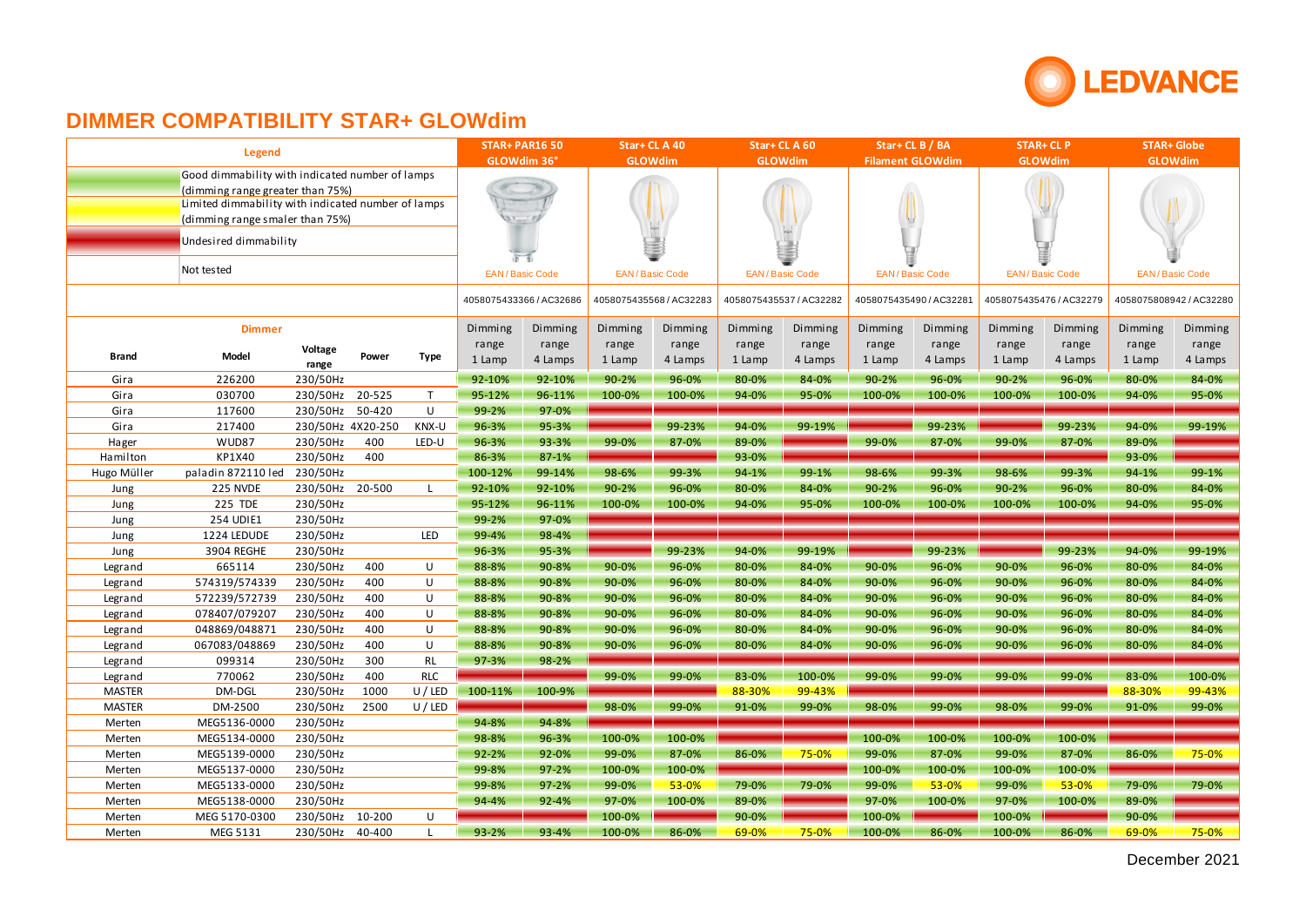

|                                                                                                                                                                              |                       | <b>STAR+ PAR16 50</b> |        | Star+CLA40     |                         | Star+CLA60            |           | Star+ CL B / BA         |         | <b>STAR+ CL P</b>       |         | <b>STAR+ Globe</b>      |                         |         |                         |         |  |
|------------------------------------------------------------------------------------------------------------------------------------------------------------------------------|-----------------------|-----------------------|--------|----------------|-------------------------|-----------------------|-----------|-------------------------|---------|-------------------------|---------|-------------------------|-------------------------|---------|-------------------------|---------|--|
|                                                                                                                                                                              | <b>Legend</b>         | GLOWdim 36°           |        | <b>GLOWdim</b> |                         | <b>GLOWdim</b>        |           | <b>Filament GLOWdim</b> |         | <b>GLOWdim</b>          |         | <b>GLOWdim</b>          |                         |         |                         |         |  |
| Good dimmability with indicated number of lamps<br>(dimming range greater than 75%)<br>Limited dimmability with indicated number of lamps<br>(dimming range smaler than 75%) |                       |                       |        |                |                         |                       |           |                         |         |                         |         |                         |                         |         |                         |         |  |
|                                                                                                                                                                              | Undesired dimmability |                       |        |                |                         |                       |           |                         |         |                         |         |                         |                         |         |                         |         |  |
| Not tested                                                                                                                                                                   |                       |                       |        |                |                         | <b>EAN/Basic Code</b> |           | <b>EAN/Basic Code</b>   |         | <b>EAN/Basic Code</b>   |         | <b>EAN/Basic Code</b>   | <b>EAN/Basic Code</b>   |         | <b>EAN/Basic Code</b>   |         |  |
|                                                                                                                                                                              |                       |                       |        |                | 4058075433366 / AC32686 |                       |           | 4058075435568 / AC32283 |         | 4058075435537 / AC32282 |         | 4058075435490 / AC32281 | 4058075435476 / AC32279 |         | 4058075808942 / AC32280 |         |  |
|                                                                                                                                                                              | <b>Dimmer</b>         |                       |        |                | Dimming                 | Dimming               | Dimming   | Dimming                 | Dimming | Dimming                 | Dimming | Dimming                 | Dimming                 | Dimming | Dimming                 | Dimming |  |
|                                                                                                                                                                              |                       | Voltage               | Power  |                | range                   | range                 | range     | range                   | range   | range                   | range   | range                   | range                   | range   | range                   | range   |  |
| <b>Brand</b>                                                                                                                                                                 | Model                 | range                 |        | Type           | 1 Lamp                  | 4 Lamps               | 1 Lamp    | 4 Lamps                 | 1 Lamp  | 4 Lamps                 | 1 Lamp  | 4 Lamps                 | 1 Lamp                  | 4 Lamps | 1 Lamp                  | 4 Lamps |  |
| Gira                                                                                                                                                                         | 226200                | 230/50Hz              |        |                | 92-10%                  | 92-10%                | $90 - 2%$ | 96-0%                   | 80-0%   | 84-0%                   | 90-2%   | 96-0%                   | 90-2%                   | 96-0%   | 80-0%                   | 84-0%   |  |
| Gira                                                                                                                                                                         | 030700                | 230/50Hz 20-525       |        | T              | 95-12%                  | 96-11%                | 100-0%    | 100-0%                  | 94-0%   | 95-0%                   | 100-0%  | 100-0%                  | 100-0%                  | 100-0%  | 94-0%                   | 95-0%   |  |
| Gira                                                                                                                                                                         | 117600                | 230/50Hz 50-420       |        | U              | 99-2%                   | 97-0%                 |           |                         |         |                         |         |                         |                         |         |                         |         |  |
| Gira                                                                                                                                                                         | 217400                | 230/50Hz 4X20-250     |        | KNX-U          | 96-3%                   | 95-3%                 |           | 99-23%                  | 94-0%   | 99-19%                  |         | 99-23%                  |                         | 99-23%  | 94-0%                   | 99-19%  |  |
| Hager                                                                                                                                                                        | WUD87                 | 230/50Hz              | 400    | LED-U          | 96-3%                   | 93-3%                 | 99-0%     | 87-0%                   | 89-0%   |                         | 99-0%   | 87-0%                   | 99-0%                   | 87-0%   | 89-0%                   |         |  |
| Hamilton                                                                                                                                                                     | KP1X40                | 230/50Hz              | 400    |                | 86-3%                   | $87 - 1%$             |           |                         | 93-0%   |                         |         |                         |                         |         | 93-0%                   |         |  |
| Hugo Müller                                                                                                                                                                  | paladin 872110 led    | 230/50Hz              |        |                | 100-12%                 | 99-14%                | 98-6%     | 99-3%                   | 94-1%   | 99-1%                   | 98-6%   | 99-3%                   | 98-6%                   | 99-3%   | 94-1%                   | 99-1%   |  |
| Jung                                                                                                                                                                         | 225 NVDE              | 230/50Hz              | 20-500 | L              | 92-10%                  | 92-10%                | 90-2%     | 96-0%                   | 80-0%   | 84-0%                   | 90-2%   | 96-0%                   | 90-2%                   | 96-0%   | 80-0%                   | 84-0%   |  |
| Jung                                                                                                                                                                         | 225 TDE               | 230/50Hz              |        |                | 95-12%                  | 96-11%                | 100-0%    | 100-0%                  | 94-0%   | 95-0%                   | 100-0%  | 100-0%                  | 100-0%                  | 100-0%  | 94-0%                   | 95-0%   |  |
| Jung                                                                                                                                                                         | 254 UDIE1             | 230/50Hz              |        |                | 99-2%                   | 97-0%                 |           |                         |         |                         |         |                         |                         |         |                         |         |  |
| Jung                                                                                                                                                                         | 1224 LEDUDE           | 230/50Hz              |        | <b>LED</b>     | 99-4%                   | 98-4%                 |           |                         |         |                         |         |                         |                         |         |                         |         |  |
| Jung                                                                                                                                                                         | 3904 REGHE            | 230/50Hz              |        |                | 96-3%                   | 95-3%                 |           | 99-23%                  | 94-0%   | 99-19%                  |         | 99-23%                  |                         | 99-23%  | 94-0%                   | 99-19%  |  |
| Legrand                                                                                                                                                                      | 665114                | 230/50Hz              | 400    | U              | 88-8%                   | 90-8%                 | 90-0%     | 96-0%                   | 80-0%   | 84-0%                   | 90-0%   | 96-0%                   | 90-0%                   | 96-0%   | 80-0%                   | 84-0%   |  |
| Legrand                                                                                                                                                                      | 574319/574339         | 230/50Hz              | 400    | U              | 88-8%                   | 90-8%                 | 90-0%     | 96-0%                   | 80-0%   | 84-0%                   | 90-0%   | 96-0%                   | 90-0%                   | 96-0%   | 80-0%                   | 84-0%   |  |
| Legrand                                                                                                                                                                      | 572239/572739         | 230/50Hz              | 400    | U              | 88-8%                   | 90-8%                 | 90-0%     | 96-0%                   | 80-0%   | 84-0%                   | 90-0%   | 96-0%                   | 90-0%                   | 96-0%   | 80-0%                   | 84-0%   |  |
| Legrand                                                                                                                                                                      | 078407/079207         | 230/50Hz              | 400    | U              | 88-8%                   | 90-8%                 | 90-0%     | 96-0%                   | 80-0%   | 84-0%                   | 90-0%   | 96-0%                   | 90-0%                   | 96-0%   | 80-0%                   | 84-0%   |  |
| Legrand                                                                                                                                                                      | 048869/048871         | 230/50Hz              | 400    | U              | 88-8%                   | 90-8%                 | 90-0%     | 96-0%                   | 80-0%   | 84-0%                   | 90-0%   | 96-0%                   | 90-0%                   | 96-0%   | 80-0%                   | 84-0%   |  |
| Legrand                                                                                                                                                                      | 067083/048869         | 230/50Hz              | 400    | U              | 88-8%                   | 90-8%                 | 90-0%     | 96-0%                   | 80-0%   | 84-0%                   | 90-0%   | 96-0%                   | 90-0%                   | 96-0%   | 80-0%                   | 84-0%   |  |
| Legrand                                                                                                                                                                      | 099314                | 230/50Hz              | 300    | <b>RL</b>      | 97-3%                   | 98-2%                 |           |                         |         |                         |         |                         |                         |         |                         |         |  |
| Legrand                                                                                                                                                                      | 770062                | 230/50Hz              | 400    | <b>RLC</b>     |                         |                       | 99-0%     | 99-0%                   | 83-0%   | 100-0%                  | 99-0%   | 99-0%                   | 99-0%                   | 99-0%   | 83-0%                   | 100-0%  |  |
| <b>MASTER</b>                                                                                                                                                                | DM-DGL                | 230/50Hz              | 1000   | U / LED        | 100-11%                 | 100-9%                |           |                         | 88-30%  | 99-43%                  |         |                         |                         |         | 88-30%                  | 99-43%  |  |
| <b>MASTER</b>                                                                                                                                                                | DM-2500               | 230/50Hz              | 2500   | U / LED        |                         |                       | 98-0%     | 99-0%                   | 91-0%   | 99-0%                   | 98-0%   | 99-0%                   | 98-0%                   | 99-0%   | 91-0%                   | 99-0%   |  |
| Merten                                                                                                                                                                       | MEG5136-0000          | 230/50Hz              |        |                | 94-8%                   | 94-8%                 |           |                         |         |                         |         |                         |                         |         |                         |         |  |
| Merten                                                                                                                                                                       | MEG5134-0000          | 230/50Hz              |        |                | 98-8%                   | 96-3%                 | 100-0%    | 100-0%                  |         |                         | 100-0%  | 100-0%                  | 100-0%                  | 100-0%  |                         |         |  |
| Merten                                                                                                                                                                       | MEG5139-0000          | 230/50Hz              |        |                | 92-2%                   | 92-0%                 | 99-0%     | 87-0%                   | 86-0%   | 75-0%                   | 99-0%   | 87-0%                   | 99-0%                   | 87-0%   | 86-0%                   | 75-0%   |  |
| Merten                                                                                                                                                                       | MEG5137-0000          | 230/50Hz              |        |                | 99-8%                   | $97 - 2%$             | 100-0%    | 100-0%                  |         |                         | 100-0%  | 100-0%                  | 100-0%                  | 100-0%  |                         |         |  |
| Merten                                                                                                                                                                       | MEG5133-0000          | 230/50Hz              |        |                | 99-8%                   | $97 - 2%$             | 99-0%     | 53-0%                   | 79-0%   | 79-0%                   | 99-0%   | 53-0%                   | 99-0%                   | 53-0%   | 79-0%                   | 79-0%   |  |
| Merten                                                                                                                                                                       | MEG5138-0000          | 230/50Hz              |        |                | 94-4%                   | 92-4%                 | 97-0%     | 100-0%                  | 89-0%   |                         | 97-0%   | 100-0%                  | 97-0%                   | 100-0%  | 89-0%                   |         |  |
| Merten                                                                                                                                                                       | MEG 5170-0300         | 230/50Hz              | 10-200 | U              |                         |                       | 100-0%    |                         | 90-0%   |                         | 100-0%  |                         | 100-0%                  |         | 90-0%                   |         |  |
| Merten                                                                                                                                                                       | MEG 5131              | 230/50Hz 40-400       |        | $\mathsf{L}$   | 93-2%                   | 93-4%                 | 100-0%    | 86-0%                   | 69-0%   | 75-0%                   | 100-0%  | 86-0%                   | 100-0%                  | 86-0%   | 69-0%                   | 75-0%   |  |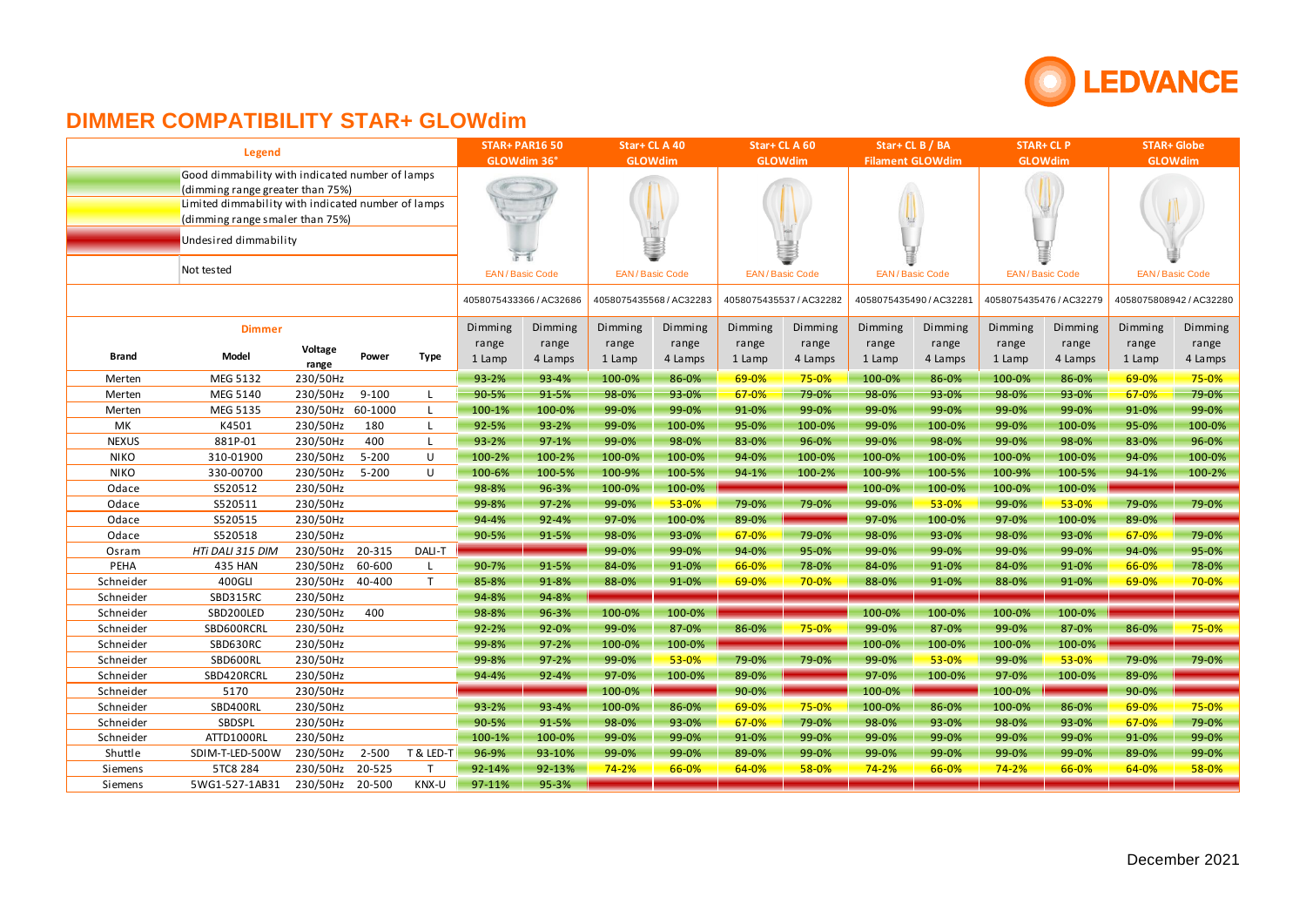

|                                                    | <b>Legend</b>                                   |                  |           |                | <b>STAR+ PAR16 50</b> |                         | Star+CLA40 |                         | Star+CLA60 |                         | Star+CLB/BA |                         | <b>STAR+ CL P</b>       |                       | <b>STAR+ Globe</b>      |         |  |
|----------------------------------------------------|-------------------------------------------------|------------------|-----------|----------------|-----------------------|-------------------------|------------|-------------------------|------------|-------------------------|-------------|-------------------------|-------------------------|-----------------------|-------------------------|---------|--|
|                                                    |                                                 | GLOWdim 36°      |           | <b>GLOWdim</b> |                       | <b>GLOWdim</b>          |            | <b>Filament GLOWdim</b> |            | <b>GLOWdim</b>          |             | <b>GLOWdim</b>          |                         |                       |                         |         |  |
|                                                    | Good dimmability with indicated number of lamps |                  |           |                |                       |                         |            |                         |            |                         |             |                         |                         |                       |                         |         |  |
| (dimming range greater than 75%)                   |                                                 |                  |           |                |                       |                         |            |                         |            |                         |             |                         |                         |                       |                         |         |  |
| Limited dimmability with indicated number of lamps |                                                 |                  |           |                |                       |                         |            |                         |            |                         |             |                         |                         |                       |                         |         |  |
|                                                    | (dimming range smaler than 75%)                 |                  |           |                |                       |                         |            |                         |            |                         |             |                         |                         |                       |                         |         |  |
|                                                    | Undesired dimmability                           |                  |           |                |                       |                         |            |                         |            |                         |             |                         |                         |                       |                         |         |  |
|                                                    |                                                 |                  |           |                |                       | 定置                      |            |                         |            |                         |             |                         |                         |                       |                         |         |  |
|                                                    | Not tested                                      |                  |           |                | EAN/Basic Code        |                         |            | <b>EAN/Basic Code</b>   |            | <b>EAN/Basic Code</b>   |             | <b>EAN/Basic Code</b>   |                         | <b>EAN/Basic Code</b> | <b>EAN/Basic Code</b>   |         |  |
|                                                    |                                                 |                  |           |                |                       |                         |            |                         |            |                         |             |                         |                         |                       |                         |         |  |
|                                                    |                                                 |                  |           |                |                       | 4058075433366 / AC32686 |            | 4058075435568/AC32283   |            | 4058075435537 / AC32282 |             | 4058075435490 / AC32281 | 4058075435476 / AC32279 |                       | 4058075808942 / AC32280 |         |  |
|                                                    | <b>Dimmer</b>                                   |                  |           |                | Dimming               | Dimming                 | Dimming    | Dimming                 | Dimming    | Dimming                 | Dimming     | Dimming                 | Dimming                 | Dimming               | Dimming                 | Dimming |  |
|                                                    |                                                 |                  |           |                | range                 | range                   | range      | range                   | range      | range                   | range       | range                   | range                   | range                 | range                   | range   |  |
| Brand                                              | Model                                           | Voltage<br>range | Power     | <b>Type</b>    | 1 Lamp                | 4 Lamps                 | 1 Lamp     | 4 Lamps                 | 1 Lamp     | 4 Lamps                 | 1 Lamp      | 4 Lamps                 | 1 Lamp                  | 4 Lamps               | 1 Lamp                  | 4 Lamps |  |
| Merten                                             | MEG 5132                                        | 230/50Hz         |           |                | 93-2%                 | 93-4%                   | 100-0%     | 86-0%                   | 69-0%      | 75-0%                   | 100-0%      | 86-0%                   | 100-0%                  | 86-0%                 | 69-0%                   | 75-0%   |  |
| Merten                                             | MEG 5140                                        | 230/50Hz         | $9 - 100$ | L              | 90-5%                 | 91-5%                   | 98-0%      | 93-0%                   | 67-0%      | 79-0%                   | 98-0%       | 93-0%                   | 98-0%                   | 93-0%                 | 67-0%                   | 79-0%   |  |
| Merten                                             | MEG 5135                                        | 230/50Hz         | 60-1000   | L.             | 100-1%                | 100-0%                  | 99-0%      | 99-0%                   | 91-0%      | 99-0%                   | 99-0%       | 99-0%                   | 99-0%                   | 99-0%                 | 91-0%                   | 99-0%   |  |
| МK                                                 | K4501                                           | 230/50Hz         | 180       | L              | 92-5%                 | 93-2%                   | 99-0%      | 100-0%                  | 95-0%      | 100-0%                  | 99-0%       | 100-0%                  | 99-0%                   | 100-0%                | 95-0%                   | 100-0%  |  |
| <b>NEXUS</b>                                       | 881P-01                                         | 230/50Hz         | 400       | L              | 93-2%                 | $97-1%$                 | 99-0%      | 98-0%                   | 83-0%      | 96-0%                   | 99-0%       | 98-0%                   | 99-0%                   | 98-0%                 | 83-0%                   | 96-0%   |  |
| <b>NIKO</b>                                        | 310-01900                                       | 230/50Hz         | $5 - 200$ | U              | 100-2%                | 100-2%                  | 100-0%     | 100-0%                  | 94-0%      | 100-0%                  | 100-0%      | 100-0%                  | 100-0%                  | 100-0%                | 94-0%                   | 100-0%  |  |
| <b>NIKO</b>                                        | 330-00700                                       | 230/50Hz         | $5 - 200$ | U              | 100-6%                | 100-5%                  | 100-9%     | 100-5%                  | 94-1%      | 100-2%                  | 100-9%      | 100-5%                  | 100-9%                  | 100-5%                | 94-1%                   | 100-2%  |  |
| Odace                                              | S520512                                         | 230/50Hz         |           |                | 98-8%                 | 96-3%                   | 100-0%     | 100-0%                  |            |                         | 100-0%      | 100-0%                  | 100-0%                  | 100-0%                |                         |         |  |
| Odace                                              | S520511                                         | 230/50Hz         |           |                | 99-8%                 | $97 - 2%$               | 99-0%      | 53-0%                   | 79-0%      | 79-0%                   | 99-0%       | 53-0%                   | 99-0%                   | 53-0%                 | 79-0%                   | 79-0%   |  |
| Odace                                              | S520515                                         | 230/50Hz         |           |                | 94-4%                 | $92 - 4%$               | 97-0%      | 100-0%                  | 89-0%      |                         | 97-0%       | 100-0%                  | 97-0%                   | 100-0%                | 89-0%                   |         |  |
| Odace                                              | S520518                                         | 230/50Hz         |           |                | 90-5%                 | 91-5%                   | 98-0%      | 93-0%                   | 67-0%      | 79-0%                   | 98-0%       | 93-0%                   | 98-0%                   | 93-0%                 | 67-0%                   | 79-0%   |  |
| Osram                                              | HTi DALI 315 DIM                                | 230/50Hz 20-315  |           | DALI-T         |                       |                         | 99-0%      | 99-0%                   | 94-0%      | 95-0%                   | 99-0%       | 99-0%                   | 99-0%                   | 99-0%                 | 94-0%                   | 95-0%   |  |
| PEHA                                               | 435 HAN                                         | 230/50Hz         | 60-600    | L.             | 90-7%                 | 91-5%                   | 84-0%      | 91-0%                   | 66-0%      | 78-0%                   | 84-0%       | 91-0%                   | 84-0%                   | 91-0%                 | 66-0%                   | 78-0%   |  |
| Schneider                                          | 400GLI                                          | 230/50Hz         | 40-400    | T.             | 85-8%                 | 91-8%                   | 88-0%      | 91-0%                   | 69-0%      | 70-0%                   | 88-0%       | 91-0%                   | 88-0%                   | 91-0%                 | 69-0%                   | 70-0%   |  |
| Schneider                                          | SBD315RC                                        | 230/50Hz         |           |                | 94-8%                 | 94-8%                   |            |                         |            |                         |             |                         |                         |                       |                         |         |  |
| Schneider                                          | SBD200LED                                       | 230/50Hz         | 400       |                | 98-8%                 | 96-3%                   | 100-0%     | 100-0%                  |            |                         | 100-0%      | 100-0%                  | 100-0%                  | 100-0%                |                         |         |  |
| Schneider                                          | SBD600RCRL                                      | 230/50Hz         |           |                | $92 - 2%$             | 92-0%                   | 99-0%      | 87-0%                   | 86-0%      | 75-0%                   | 99-0%       | 87-0%                   | 99-0%                   | 87-0%                 | 86-0%                   | 75-0%   |  |
| Schneider                                          | SBD630RC                                        | 230/50Hz         |           |                | 99-8%                 | $97 - 2%$               | 100-0%     | 100-0%                  |            |                         | 100-0%      | 100-0%                  | 100-0%                  | 100-0%                |                         |         |  |
| Schneider                                          | SBD600RL                                        | 230/50Hz         |           |                | 99-8%                 | $97 - 2%$               | 99-0%      | 53-0%                   | 79-0%      | 79-0%                   | 99-0%       | 53-0%                   | 99-0%                   | 53-0%                 | 79-0%                   | 79-0%   |  |
| Schneider                                          | SBD420RCRL                                      | 230/50Hz         |           |                | 94-4%                 | 92-4%                   | 97-0%      | 100-0%                  | 89-0%      |                         | 97-0%       | 100-0%                  | 97-0%                   | 100-0%                | 89-0%                   |         |  |
| Schneider                                          | 5170                                            | 230/50Hz         |           |                |                       |                         | 100-0%     |                         | 90-0%      |                         | 100-0%      |                         | 100-0%                  |                       | 90-0%                   |         |  |
| Schneider                                          | SBD400RL                                        | 230/50Hz         |           |                | $93 - 2%$             | 93-4%                   | 100-0%     | 86-0%                   | 69-0%      | 75-0%                   | 100-0%      | 86-0%                   | 100-0%                  | 86-0%                 | 69-0%                   | 75-0%   |  |
| Schneider                                          | SBDSPL                                          | 230/50Hz         |           |                | 90-5%                 | 91-5%                   | 98-0%      | 93-0%                   | 67-0%      | 79-0%                   | 98-0%       | 93-0%                   | 98-0%                   | 93-0%                 | 67-0%                   | 79-0%   |  |
| Schneider                                          | ATTD1000RL                                      | 230/50Hz         |           |                | 100-1%                | 100-0%                  | 99-0%      | 99-0%                   | 91-0%      | 99-0%                   | 99-0%       | 99-0%                   | 99-0%                   | 99-0%                 | 91-0%                   | 99-0%   |  |
| Shuttle                                            | SDIM-T-LED-500W                                 | 230/50Hz         | $2 - 500$ | T & LED-T      | 96-9%                 | 93-10%                  | 99-0%      | 99-0%                   | 89-0%      | 99-0%                   | 99-0%       | 99-0%                   | 99-0%                   | 99-0%                 | 89-0%                   | 99-0%   |  |
| Siemens                                            | 5TC8 284                                        | 230/50Hz         | 20-525    | T              | 92-14%                | 92-13%                  | $74 - 2%$  | 66-0%                   | 64-0%      | 58-0%                   | $74 - 2%$   | 66-0%                   | 74-2%                   | 66-0%                 | 64-0%                   | 58-0%   |  |
| Siemens                                            | 5WG1-527-1AB31                                  | 230/50Hz         | 20-500    | KNX-U          | 97-11%                | 95-3%                   |            |                         |            |                         |             |                         |                         |                       |                         |         |  |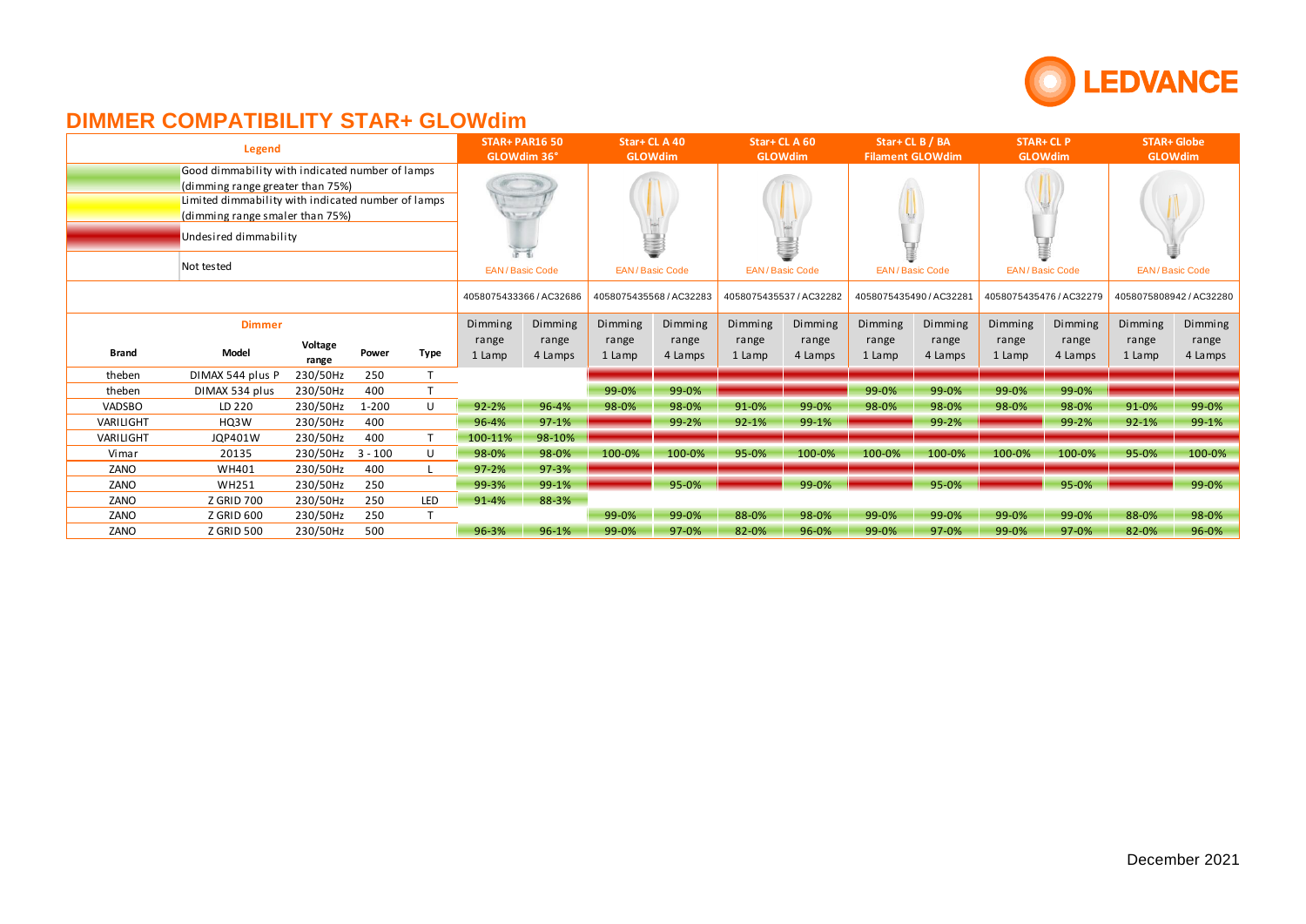

|               | Legend                                                                                                                                                                                                              | <b>STAR+ PAR16 50</b><br>GLOWdim 36° |                       | Star+ CL A 40<br><b>GLOWdim</b> |                 | Star+CLA60<br><b>GLOWdim</b> |                 | Star+CLB/BA<br><b>Filament GLOWdim</b> |                 | <b>STAR+ CL P</b><br><b>GLOWdim</b> |                 | <b>STAR+ Globe</b><br><b>GLOWdim</b> |                 |                         |                 |                         |
|---------------|---------------------------------------------------------------------------------------------------------------------------------------------------------------------------------------------------------------------|--------------------------------------|-----------------------|---------------------------------|-----------------|------------------------------|-----------------|----------------------------------------|-----------------|-------------------------------------|-----------------|--------------------------------------|-----------------|-------------------------|-----------------|-------------------------|
|               | Good dimmability with indicated number of lamps<br>(dimming range greater than 75%)<br>Limited dimmability with indicated number of lamps<br>(dimming range smaler than 75%)<br>Undesired dimmability<br>Not tested | 上下                                   | <b>EAN/Basic Code</b> | <b>EAN/Basic Code</b>           |                 | Ξ<br><b>EAN/Basic Code</b>   |                 | <b>EAN/Basic Code</b>                  |                 | <b>EAN/Basic Code</b>               |                 | <b>EAN/Basic Code</b>                |                 |                         |                 |                         |
|               |                                                                                                                                                                                                                     |                                      |                       |                                 |                 | 4058075433366 / AC32686      |                 | 4058075435568/AC32283                  |                 | 4058075435537 / AC32282             |                 | 4058075435490 / AC32281              |                 | 4058075435476 / AC32279 |                 | 4058075808942 / AC32280 |
| <b>Dimmer</b> |                                                                                                                                                                                                                     |                                      |                       |                                 | Dimming         | Dimming                      | Dimming         | Dimming                                | Dimming         | Dimming                             | Dimming         | Dimming                              | Dimming         | Dimming                 | Dimming         | Dimming                 |
| <b>Brand</b>  | Model                                                                                                                                                                                                               | Voltage<br>range                     | Power                 | <b>Type</b>                     | range<br>1 Lamp | range<br>4 Lamps             | range<br>1 Lamp | range<br>4 Lamps                       | range<br>1 Lamp | range<br>4 Lamps                    | range<br>1 Lamp | range<br>4 Lamps                     | range<br>1 Lamp | range<br>4 Lamps        | range<br>1 Lamp | range<br>4 Lamps        |
| theben        | DIMAX 544 plus P                                                                                                                                                                                                    | 230/50Hz                             | 250                   |                                 |                 |                              |                 |                                        |                 |                                     |                 |                                      |                 |                         |                 |                         |
| theben        | DIMAX 534 plus                                                                                                                                                                                                      | 230/50Hz                             | 400                   |                                 |                 |                              | 99-0%           | 99-0%                                  |                 |                                     | 99-0%           | 99-0%                                | 99-0%           | 99-0%                   |                 |                         |
| <b>VADSBO</b> | LD 220                                                                                                                                                                                                              | 230/50Hz                             | $1 - 200$             | U                               | $92 - 2%$       | 96-4%                        | 98-0%           | 98-0%                                  | 91-0%           | 99-0%                               | 98-0%           | 98-0%                                | 98-0%           | 98-0%                   | 91-0%           | 99-0%                   |
| VARILIGHT     | HQ3W                                                                                                                                                                                                                | 230/50Hz                             | 400                   |                                 | 96-4%           | $97-1%$                      |                 | 99-2%                                  | $92 - 1%$       | 99-1%                               |                 | 99-2%                                |                 | 99-2%                   | $92 - 1%$       | 99-1%                   |
| VARILIGHT     | JQP401W                                                                                                                                                                                                             | 230/50Hz                             | 400                   |                                 | 100-11%         | 98-10%                       |                 |                                        |                 |                                     |                 |                                      |                 |                         |                 |                         |
| Vimar         | 20135                                                                                                                                                                                                               | 230/50Hz                             | $3 - 100$             | U                               | 98-0%           | 98-0%                        | 100-0%          | 100-0%                                 | 95-0%           | 100-0%                              | 100-0%          | 100-0%                               | 100-0%          | 100-0%                  | 95-0%           | 100-0%                  |
| ZANO          | WH401                                                                                                                                                                                                               | 230/50Hz                             | 400                   |                                 | $97 - 2%$       | 97-3%                        |                 |                                        |                 |                                     |                 |                                      |                 |                         |                 |                         |
| ZANO          | <b>WH251</b>                                                                                                                                                                                                        | 230/50Hz                             | 250                   |                                 | 99-3%           | 99-1%                        |                 | 95-0%                                  |                 | 99-0%                               |                 | 95-0%                                |                 | 95-0%                   |                 | 99-0%                   |
| ZANO          | Z GRID 700                                                                                                                                                                                                          | 230/50Hz                             | 250                   | LED                             | $91 - 4%$       | 88-3%                        |                 |                                        |                 |                                     |                 |                                      |                 |                         |                 |                         |
| ZANO          | Z GRID 600                                                                                                                                                                                                          | 230/50Hz                             | 250                   |                                 |                 |                              | 99-0%           | 99-0%                                  | 88-0%           | 98-0%                               | 99-0%           | 99-0%                                | 99-0%           | 99-0%                   | 88-0%           | 98-0%                   |
| ZANO          | Z GRID 500                                                                                                                                                                                                          | 230/50Hz                             | 500                   |                                 | 96-3%           | 96-1%                        | 99-0%           | 97-0%                                  | 82-0%           | 96-0%                               | 99-0%           | 97-0%                                | 99-0%           | 97-0%                   | 82-0%           | 96-0%                   |